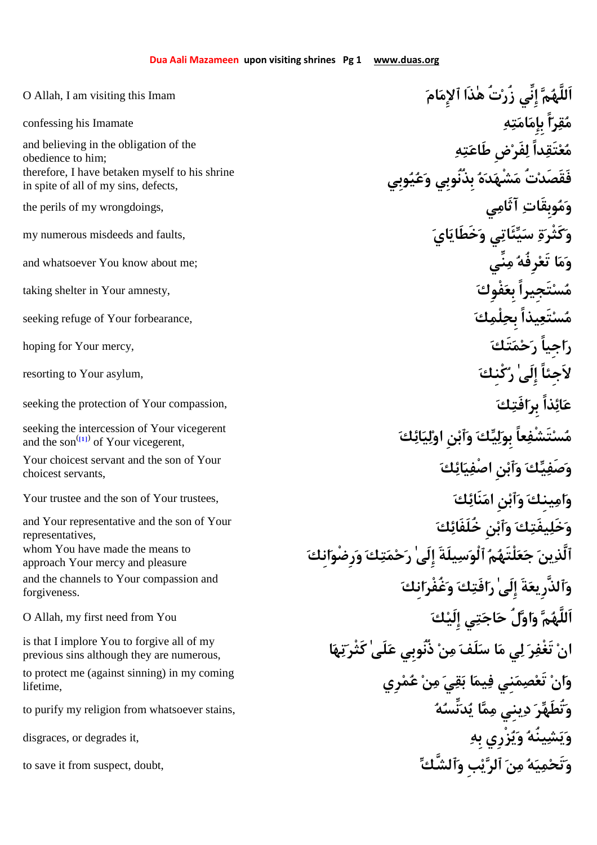| O Allah, I am visiting this Imam                                                         | زُرْتُ هٰٰذَا ٱلإمَامَ                                             |
|------------------------------------------------------------------------------------------|--------------------------------------------------------------------|
| confessing his Imamate                                                                   |                                                                    |
| and believing in the obligation of the<br>obedience to him;                              | لفرْض طاعَتِهِ                                                     |
| therefore, I have betaken myself to his shrine<br>in spite of all of my sins, defects,   |                                                                    |
| the perils of my wrongdoings,                                                            |                                                                    |
| my numerous misdeeds and faults,                                                         |                                                                    |
| and whatsoever You know about me;                                                        |                                                                    |
| taking shelter in Your amnesty,                                                          |                                                                    |
| seeking refuge of Your forbearance,                                                      |                                                                    |
| hoping for Your mercy,                                                                   |                                                                    |
| resorting to Your asylum,                                                                |                                                                    |
| seeking the protection of Your compassion,                                               |                                                                    |
| seeking the intercession of Your vicegerent<br>and the son $^{(11)}$ of Your vicegerent, | كَ وَأَبْنِ اوْلِيَائِكَ                                           |
| Your choicest servant and the son of Your<br>choicest servants,                          |                                                                    |
| Your trustee and the son of Your trustees,                                               |                                                                    |
| and Your representative and the son of Your<br>representatives,                          | وَخَلِيفَتِكَ وَأَبْنِ خَلَفَائِكَ                                 |
| whom You have made the means to<br>approach Your mercy and pleasure                      | ٱلَّذِينَ جَعَلْتَهُمُ ٱلْوَسِيلَةَ إِلَىٰۖ رَحْمَتِكَ وَرضْوَانكَ |
| and the channels to Your compassion and<br>forgiveness.                                  | وَٱلذَّرِيعَةَ إِلَىٰ رَافَتِكَ وَغُفْرَانِكَ                      |
| O Allah, my first need from You                                                          | ٱللَّهُمَّ وَاوَّلُ حَاجَتِى إِلَيْكَ                              |
| is that I implore You to forgive all of my<br>previous sins although they are numerous,  | انْ تَغْفِرَ لِي مَا سَلَفَ مِنْ ذُنُوبِي عَلَىٰ كَثْرِتِهَا       |
| to protect me (against sinning) in my coming<br>lifetime,                                | وَانْ تَعْصِمَنِي فِيمَا بَقِيَ مِنْ عُمْرِي                       |
| to purify my religion from whatsoever stains,                                            | وَتُطَهِّرَ دِينى مِمَّا يُدَنِّسُهُ                               |
| disgraces, or degrades it,                                                               | وَيَشِينُهُ وَيُزْرِي بِهِ                                         |
| to save it from suspect, doubt,                                                          | وَتَحْمِيَهُ مِنَ ٱلرَّيْبِ وَٱلشَّكِّ                             |
|                                                                                          |                                                                    |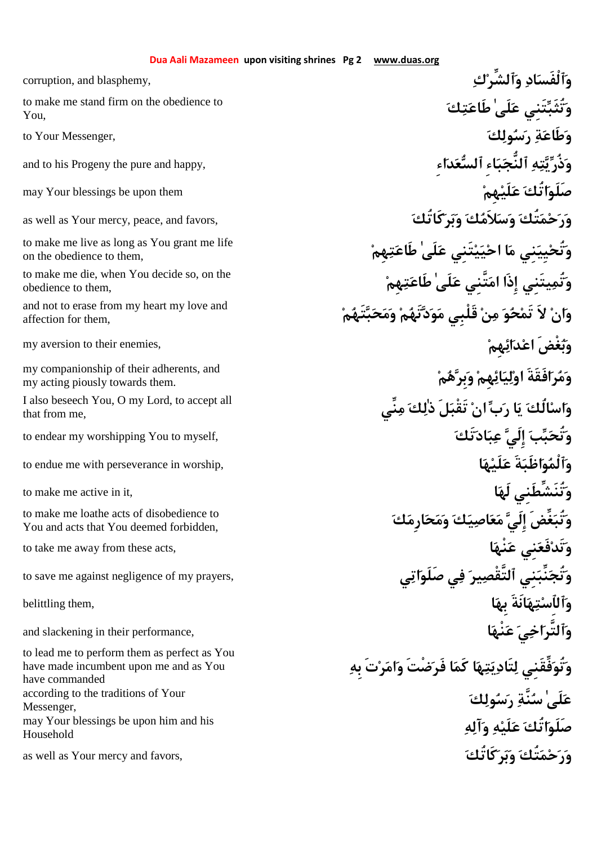You,

on the obedience to them,

obedience to them,

affection for them,

my acting piously towards them.

that from me,

You and acts that You deemed forbidden,

to lead me to perform them as perfect as You have made incumbent upon me and as You have commanded Messenger, Household

corruption, and blasphemy, **كٱلشِّرو ادٱلْفَسو كتطَاع ٰلَىع تَنِيتُثَبو** to make me stand firm on the obedience to to Your Messenger, **كولسر ةطَاعو** and to his Progeny the pure and happy, **ِاءدعٱلس ِاءبٱلنُّج هتيذُرو** may Your blessings be upon them **هِملَيع اتُكصَلَو** as well as Your mercy, peace, and favors, **كَاتُكربو كلاَمسو تُكمحرو هِمتطَاع ٰلَىع تَنِيييحا ام نِييِيتُحو** to make me live as long as You grant me life **هِمتطَاع ٰلَىع تَّنِيما إِذَا يتَنِيتُمو** to make me die, when You decide so, on the and not to erase from my heart my love and<br>affection for them. **article in the set of the set of the set of the set of the set of the set of the set of th** my aversion to their enemies, **هِمائدعا غْضَبو** my companionship of their adherents, and<br>my acting piously towards them. **نِّيم كلٰذ لَتَقْب نا بر اي لُكاساو** I also beseech You, O my Lord, to accept all to endear my worshipping You to myself, **تَكادبع إِلَي ببتُحو** to endue me with perseverance in worship, **اهلَيع ةَاظَبوٱلْمو** to make me active in it, **الَه تُنَشِّطَنِيو كارِمحمو كياصعم إِلَي غِّضَتُبو** to make me loathe acts of disobedience to to take me away from these acts, **انْهع نِيفَعتَدو** to save me against negligence of my prayers, **ياتصَلَو يف يرٱلتَّقْص نِينِّبتُجو وٱلٱِستهانَةَ بِها** ,them belittling and slackening in their performance, **انْهع ياخٱلتَّرو وتُوفِّقَنِي لتَاديتها كَما فَرضْتَ وامرتَ بِه** according to the traditions of Your<br>Messagger **هآلو هلَيع اتُكصَلَو** may Your blessings be upon him and his as well as Your mercy and favors, **كَاتُكربو تُكمحرو**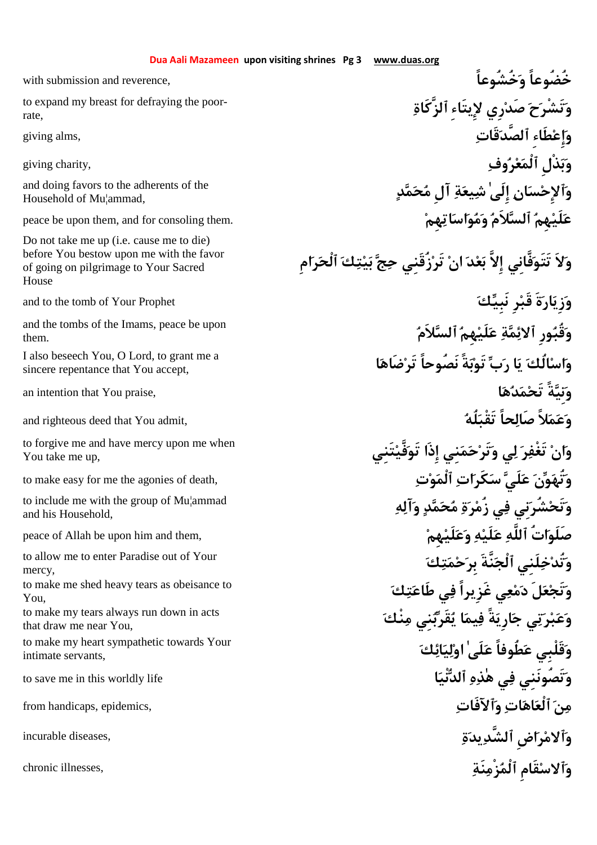rate,

Household of Mu¦ammad,

Do not take me up (i.e. cause me to die) before You bestow upon me with the favor of going on pilgrimage to Your Sacred House

them.

sincere repentance that You accept,

You take me up,

and his Household,

mercy,

You,

that draw me near You,

intimate servants,

with submission and reverence, **خُشُوعاًو خُضُوعاً ٱلزَّكَاة ِيتَاءِلإ رِيصَد حتَشْرو** to expand my breast for defraying the poorgiving alms, **قَاتٱلصَّد ِطَاءإِعو** giving charity, **وفرعٱلْم ذْلِبو** دَأَ لاحْسَنَانِ إِلَىٰ شِيعَةِ آلِ مُحَمَّدِ مِسْلِمَاتِ الْعَيْنِ الْعَيْسَانِ إِلَىٰ شِيعَةِ آلِ مُحَمَّدِ عَلَيْهِمُ ٱلسَّلاَمُ وَمُواسَاتِهِمْ السَّلاَمُ وَمُواسَاتِهِمْ مَسَّلاَم**ُ وَمُواسَاتِهِمْ اللهِ**مَّاتِي هِم **ولاَ تَتَوفَّانِي إِلاَّ بعد ان تَرزُقَنِي حج بيتك ٱلْحرامِ** and to the tomb of Your Prophet **كَنْ رَبَيِّكَ كَنْبَيِّكَ لِيَبْ لاَمٱلس هِملَيع ةمئٱلا ورِقُبو** and the tombs of the Imams, peace be upon **اضَاهتَر نَصُوحاً ةًبتَو بر اي لُكاساو** I also beseech You, O Lord, to grant me a an intention that You praise, **اهدمتَح ةًنِيو** and righteous deed that You admit, **لَهُ تَقْبَلُهُ لَهْتَقْبَلُهُ لَه تَنِيفَّيتَو إِذَا نِيمحتَرو يل رتَغْف ناو** to forgive me and have mercy upon me when to make easy for me the agonies of death, **توٱلْم اتكَرس لَيع نوتُهو هآلو دمحم ةرزُم يف نِيشُرتَحو** to include me with the group of Mu¦ammad peace of Allah be upon him and them, **هِملَيعو هلَيع ٱللَّه اتُصَلَو كتمحبِر نَّةَٱلْج لَنِيختُدو** to allow me to enter Paradise out of Your **كتطَاع يف غَزِيراً يعمد لَعتَجو** to make me shed heavy tears as obeisance to to make my tears always run down in acts<br>that draw me near You **كائيلوا ٰلَىع طُوفاًع قَلْبِيو** to make my heart sympathetic towards Your to save me in this worldly life **انْيٱلد هذٰه يف تَصُونَنِيو** from handicaps, epidemics, **ٱلآفَاتو اتاهٱلْع نم** incurable diseases, **ةيدٱلشَّد اضِرمٱلاو** chronic illnesses, **نَةزْمٱلْم قَامِسٱلاو**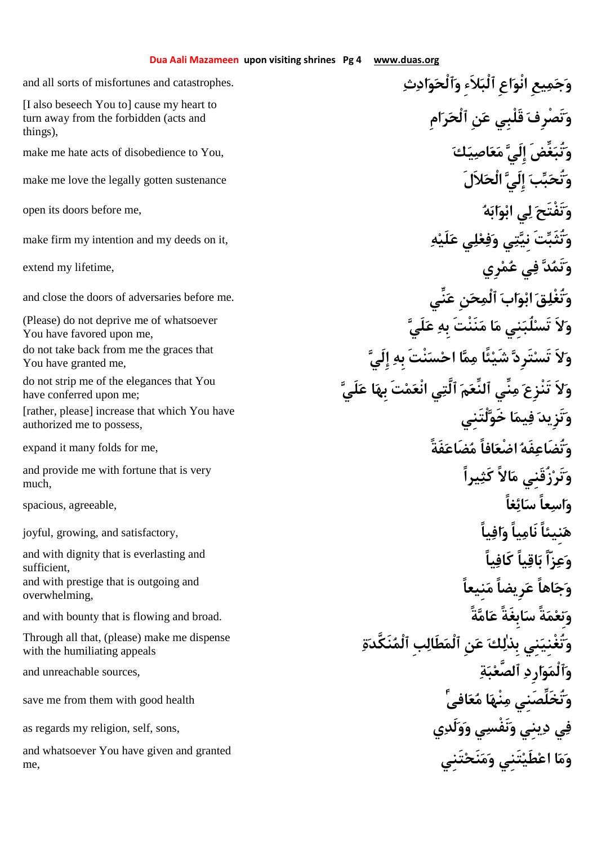## **Dua Aali Mazameen upon visiting shrines Pg 4 www.duas.org**

turn away from the forbidden (acts and things),

You have favored upon me,

You have granted me,

have conferred upon me;

**لْتَنِيخَو ايمف تَزِيدو**] rather, please] increase that which You have authorized me to possess,

much,

sufficient, overwhelming,

**ةنَكَّدٱلْم بِطَالٱلْم نِع كلٰبِذ نِيتُغْنِيو** Through all that, (please) make me dispense with the humiliating appeals

me,

and all sorts of misfortunes and catastrophes. **ثادوٱلْحو ِلاَءٱلْب اعِنْوا يعِمجو امِرٱلْح نِع قَلْبِي تَصْرِفو**] I also beseech You to] cause my heart to make me hate acts of disobedience to You, **كياصعم إِلَي غِّضَتُبو** make me love the legally gotten sustenance **لاَلَالْح إِلَي ببتُحو** open its doors before me, **هابوبا يل تَفْتَحو** make firm my intention and my deeds on it, **هلَيع يلعفو يتنِي تَتُثَبو** extend my lifetime, **رِيمع يف دتَمو** and close the doors of adversaries before me. **نِّيع نِحٱلْم ابوب ا قتُغْلو لَيع بِه نَنْتَم ام نِيلُبتَس لاَو**) Please) do not deprive me of whatsoever **إِلَي بِه نْتَسحا امم ئًاشَي تَرِدتَس لاَو** do not take back from me the graces that **لَيع ابِه تَمنْعا يٱلَّت مٱلنِّع نِّيم تَنْزِع لاَو** do not strip me of the elegances that You expand it many folds for me, **فَةًضَاعم افاًضْعا فَهتُضَاعو** and provide me with fortune that is very **and provide me with fortune that is very واسعاً سائغاً** ,agreeable ,spacious joyful, growing, and satisfactory, **يَقْنَعْةً نَامِياً وَافِياً ياًكَاف ياًاقب زّاًعو** and with dignity that is everlasting and and with prestige that is outgoing and<br>a sucry believe a set of a set of a set of a set of a set of a set of a set of a set of a set of a set of a set and with bounty that is flowing and broad. **ةًامع ابِغَةًس ةًمنِعو** and unreachable sources, **ةبٱلصَّع ارِدوٱلْمو** save me from them with good health **ًٰافىعم انْهم تُخَلِّصَنِيو** as regards my religion, self, sons, **يلَدوو ينَفْسو ينِيد يف تَنِينَحمو تَنِيطَيعا امو** and whatsoever You have given and granted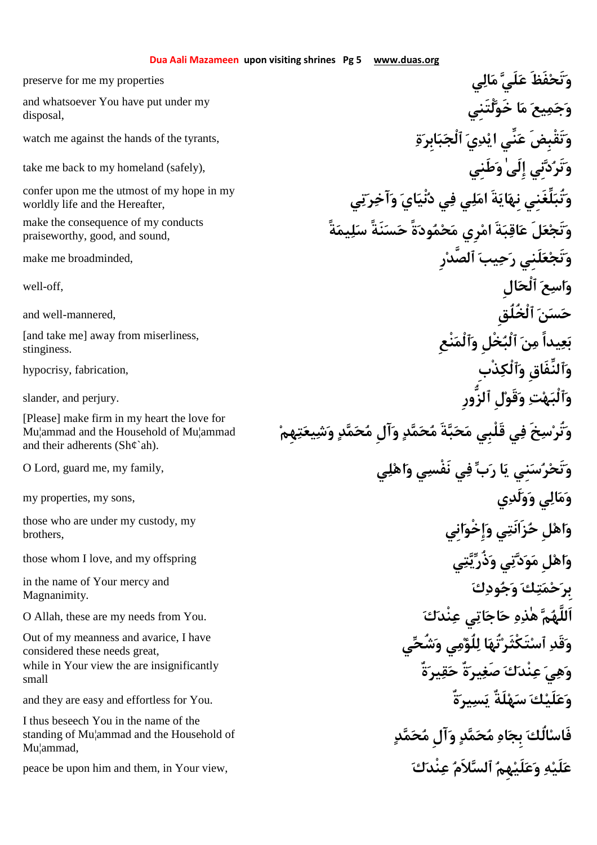disposal,

worldly life and the Hereafter,

make the consequence of my conducts praiseworthy, good, and sound,

stinginess.

Mu¦ammad and the Household of Mu¦ammad and their adherents (Sh¢`ah).

brothers,

Magnanimity.

considered these needs great, small

I thus beseech You in the name of the standing of Mu¦ammad and the Household of Mu¦ammad,

preserve for me my properties **يالم لَيع فَظَتَحو** and whatsoever You have put under my<br>و**َجَمِيع**َ م**َا خَوَلْتَنِي** watch me against the hands of the tyrants, **ةابِربٱلْج يديا نِّيع تَقْبِضَو** take me back to my homeland (safely), **طَنِيو ٰإِلَى نِيدتَرو** e confer upon me the utmost of my hope in my<br>worldly life and the Hereafter. **يَوَتُبَلِّغَنِي نِهَا يَةَ امَلِي فِي دُنْيَايَ وَآخِرَتِي وتَجعلَ عاقبةَ امرِي محمودةً حسنَةً سليمةً** make me broadminded, **رِٱلصَّد يبحر لَنِيعتَجو** well-off, **الِٱلْح عاسو** and well-mannered, **ٱلْخُلُقِ نسح** بَعِيداً مِنَ ٱلْبُخْلِ وَٱلْمَنْعِ الْسَاءِ and take me] away from miserliness, **وٱلنِّفَاقِ وٱلْكذْبِ** ,fabrication ,hypocrisy slander, and perjury. **ٱلزُّورِ لِقَوو تهٱلْبو** وَتُرْسِخَ فِي قَلْبِي مَحَبَّةَ مُحَمَّدٍ وَ**آل مُحَمَّدٍ وَشِيعَتِهِمْ Please] make firm in my heart the love for**<br>Mu¦ammad and the Household of Mu¦ammad **the love for the firm in the love hou** O Lord, guard me, my family, **يلهاو ينَفْس يف بر اي نِيسرتَحو** my properties, my sons, **يلَدوو يالمو انِيإِخْوو يزَانَتح لِهاو** those who are under my custody, my those whom I love, and my offspring **يتيذُرو يتدوم لِهاو كودجو كتمحبِر** in the name of Your mercy and O Allah, these are my needs from You. **كنْدع ياتاجح هذٰه ماَللَّه يشُحو يملُؤل اتُهتَكْثَرٱس قَدو** Out of my meanness and avarice, I have **ةٌيرقح ةٌيرصَغ كنْدع يهو** while in Your view the are insignificantly and they are easy and effortless for You. **ةٌيرسي لَةٌهس كلَيعو فَاسالُك بِجاه محمد وآلِ محمد** peace be upon him and them, in Your view, **كنْدع لاَمٱلس هِملَيعو هلَيع**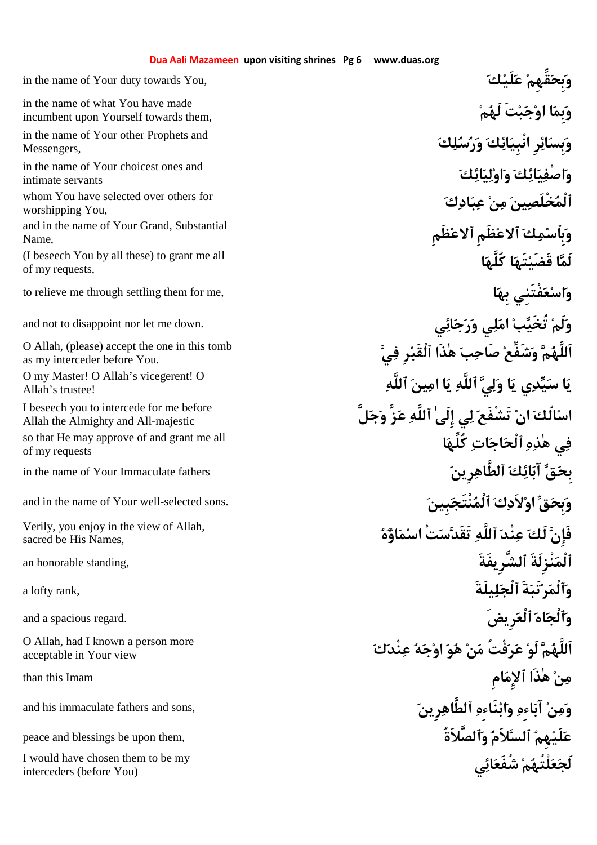in the name of Your duty towards You, **كلَيع قِّهِمبِحو ملَه تَبجوا ابِمو** in the name of what You have made incumbent upon Yourself towards them, **كلسرو كائنْبِيا رِائبِسو** in the name of Your other Prophets and Messengers, **كائيلواو كائيصْفاو** in the name of Your choicest ones and intimate servants **كادبع نم ينخْلَصٱلْم** whom You have selected over others for worshipping You, **ظَمِعٱلا ظَمِعٱلا كمبِٱسو** and in the name of Your Grand, Substantial Name, **اكُلَّه اتَهقَضَي الَم**) I beseech You by all these) to grant me all of my requests, to relieve me through settling them for me, **ابِه فْتَنِيعساو** and not to disappoint nor let me down. **يائجرو يلما بتُخَي لَمو** D Allah, (please) accept the one in this tomb<br>as my interceder before You. as my interceder before You. D my Master! O Allah's vicegerent! O **Allah's vicegerent! O** Allah's trustee! Allah's trustee! **اسالُك ان تَشْفَع لي إِلَىٰ ٱللَّه عزَّ وجلَّ** I beseech you to intercede for me before Allah the Almighty and All-majestic **اكُلِّه اتاجٱلْح هذٰه يف** so that He may approve of and grant me all of my requests in the name of Your Immaculate fathers **رِينٱلطَّاه كائآب قبِح** and in the name of Your well-selected sons. **بِيننْتَجٱلْم كلاَدوا قبِحو هاؤمسا تْستَقَد ٱللَّه نْدع لَك فَإِن** Verily, you enjoy in the view of Allah, sacred be His Names, an honorable standing, **ٱلشَّرِيفَةَ نْزِلَةَٱلْم** a lofty rank, **يلَةَلٱلْج ةَتَبرٱلْمو** and a spacious regard. **رِيضَٱلْع اهٱلْجو كنْدع هجوا وه نم فْتُرع لَو ماَللَّه** O Allah, had I known a person more acceptable in Your view **من هٰذَا ٱلإِمامِ** Imam this than and his immaculate fathers and sons, **رِينٱلطَّاه هِنَاءباو هِاءآب نمو** peace and blessings be upon them, **ٱلصَّلاَةُو لاَمٱلس هِملَيع**

l would have chosen them to be my<br>interceders (before You) interceders (before You)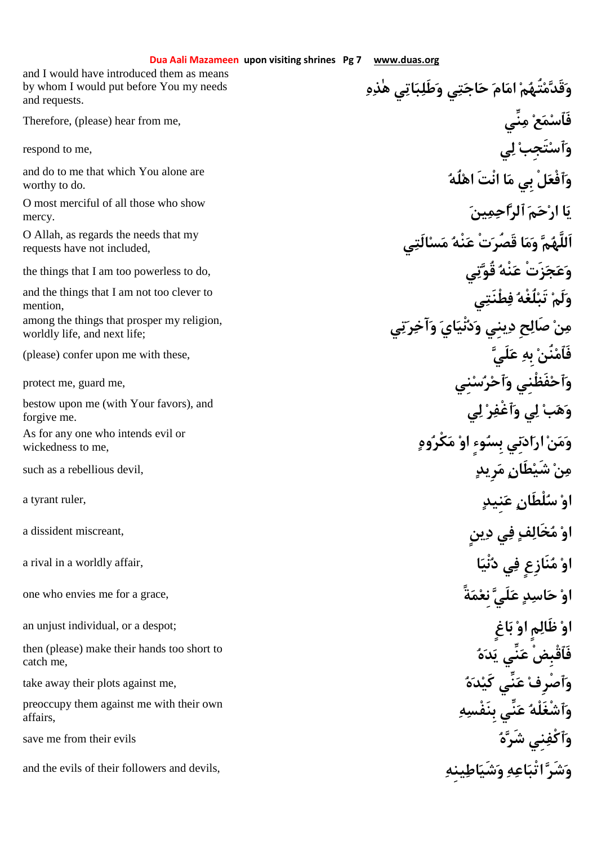|                                                                                                       | Dua Aali Mazameen upon visiting shrines Pg 7<br>www.duas.org |
|-------------------------------------------------------------------------------------------------------|--------------------------------------------------------------|
| and I would have introduced them as means<br>by whom I would put before You my needs<br>and requests. | وَقَدَّمْتُهُمْ امَامَ حَاجَتِي وَطَلِبَاتِي هٰذِهِ          |
| Therefore, (please) hear from me,                                                                     | فَٱسْمَع ۟ مِنِّی                                            |
| respond to me,                                                                                        | وَٱسْتَجبْ لِي                                               |
| and do to me that which You alone are<br>worthy to do.                                                | وَٱفْعَلْ بِي مَا انْتَ اهْلُهُ                              |
| O most merciful of all those who show<br>mercy.                                                       | يَا ارْحَمَ ٱلرَّاحِمِد: َ                                   |
| O Allah, as regards the needs that my<br>requests have not included,                                  | اَللَّهُمَّ وَمَا قَصُرَتْ عَنْهُ مَس                        |
| the things that I am too powerless to do,                                                             | وَعَجَزَتْ عَنْهُ قُوَّنِي                                   |
| and the things that I am not too clever to<br>mention,                                                | وَلَمْ تَبْلُغْهُ فِطْنَتِي                                  |
| among the things that prosper my religion,<br>worldly life, and next life;                            | صَالِح دِينى وَدُنْيَايَ وَآخِرَتِي                          |
| (please) confer upon me with these,                                                                   | فَٱمْنُنْ بِهِ عَلَىَّ                                       |
| protect me, guard me,                                                                                 | وَٱحْفَظَنى وَٱحْرُسْنى                                      |
| bestow upon me (with Your favors), and<br>forgive me.                                                 | وَهَبْ لِي وَأَغْفِرْ لِي                                    |
| As for any one who intends evil or<br>wickedness to me,                                               | وَمَنْ ارَادَنِي بِسُوءِ اوْ مَكْرُوهِ                       |
| such as a rebellious devil,                                                                           | مِنْ شَيْطَانٍ مَرِيدٍ                                       |
| a tyrant ruler,                                                                                       | اوْ سُلْطَانِ عَنِيدٍ                                        |
| a dissident miscreant,                                                                                | اوْ مُخَالِفٍ فِي دِينٍ                                      |
| a rival in a worldly affair,                                                                          | اوْ مُنَازِعٍ فِى دُنْيَا                                    |
| one who envies me for a grace,                                                                        | <b>µِ عَلَى َّنغْمَةً</b>                                    |
| an unjust individual, or a despot;                                                                    |                                                              |
| then (please) make their hands too short to<br>catch me,                                              |                                                              |
| take away their plots against me,                                                                     |                                                              |
| preoccupy them against me with their own<br>affairs,                                                  |                                                              |
| save me from their evils                                                                              |                                                              |
| and the evils of their followers and devils,                                                          | وَشَدَّ اتْبَاعِهِ وَشَ                                      |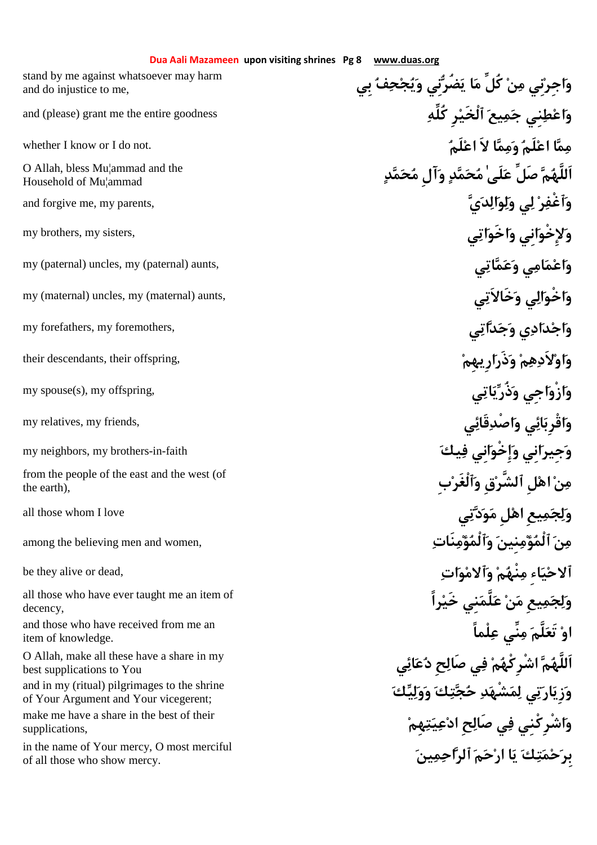## **Dua Aali Mazameen upon visiting shrines Pg 8 www.duas.org**

**بِي فحجيو نِيضُري ام كُلِّ نم نِيجِراو** stand by me against whatsoever may harm and do injustice to me,

Household of Mu¦ammad

the earth),

**راًخَي نِيلَّمع نم يعِمجلو** all those who have ever taught me an item of decency,

and those who have received from me an item of knowledge.

best supplications to You and in my (ritual) pilgrimages to the shrine<br>
of Your Argument and Your vicegerent: of Your Argument and Your vicegerent;

supplications,

**ينماحٱلر محرا اي كتمحبِر** in the name of Your mercy, O most merciful of all those who show mercy.

and (please) grant me the entire goodness **كُلِّه رِٱلْخَي يعمج نِيطعاو** whether I know or I do not. **لَمعا لاَ اممو لَمعا امم** دَمَمَّة آ**للَّهُمَّ صَلِّ عَلَى ٰمُحَمَّدِ وَآل مُحَمَّدٍ** وَآل مُحَمَّدٍ وَآل مُحَمَّدٍ وَآل مُحَمَّدٍ وَآل مُحَمَّدٍ and forgive me, my parents, **يدالولو يل رٱغْفو** my brothers, my sisters, **ياتخَواو انِيخْوِلإو** my (paternal) uncles, my (paternal) aunts, **ياتمعو ياممعاو** my (maternal) uncles, my (maternal) aunts, **يخَالاَتو يالخْواو** my forefathers, my foremothers, **ياتدجو ياددجاو** their descendants, their offspring, **ارِيهِمذَرو مهلاَدواو** my spouse(s), my offspring, **ياتيذُرو اجِيزْواو** my relatives, my friends, **يقَائصْداو يائقْرِباو** my neighbors, my brothers-in-faith **يَكْفُو انِي فِيكْ** يَجْمِعُو انِي مِنْ الله عَليه وَ يَكْفُو انِي الله عَ **بِٱلْغَرو قِٱلشَّر لِها نم** from the people of the east and the west (of all those whom I love **يتدوم لِها يعِمجلو** among the believing men and women, **نَاتمؤٱلْمو نِينمؤٱلْم نم** be they alive or dead, **اتومٱلاو منْهم ِاءيحٱلا او تَعلَّم منِّي علْماً** O Allah, make all these have a share in my<br>best supplications to You **هِمتيعدا حِصَال يف شْرِكْنِياو** make me have a share in the best of their